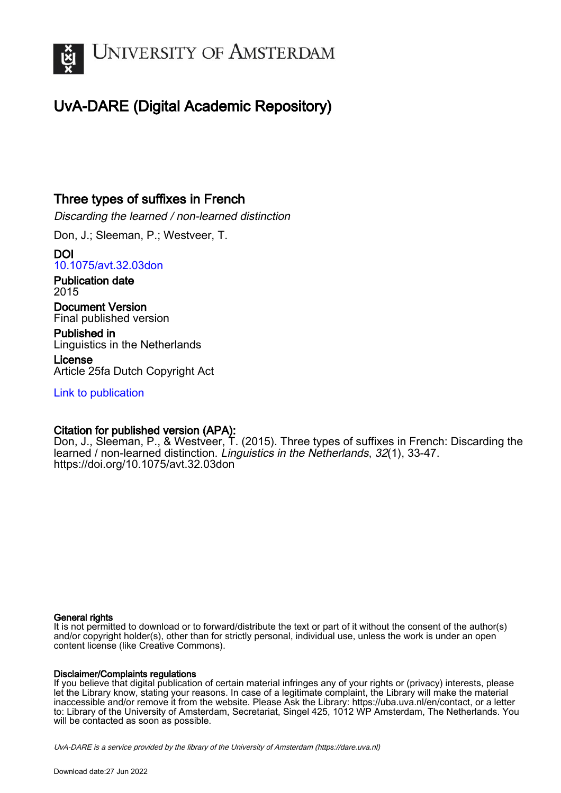

## UvA-DARE (Digital Academic Repository)

## Three types of suffixes in French

Discarding the learned / non-learned distinction

Don, J.; Sleeman, P.; Westveer, T.

DOI [10.1075/avt.32.03don](https://doi.org/10.1075/avt.32.03don)

Publication date 2015

Document Version Final published version

Published in Linguistics in the Netherlands

License Article 25fa Dutch Copyright Act

[Link to publication](https://dare.uva.nl/personal/pure/en/publications/three-types-of-suffixes-in-french(3060fd9d-d360-4ddb-be17-7670c5f86221).html)

## Citation for published version (APA):

Don, J., Sleeman, P., & Westveer, T. (2015). Three types of suffixes in French: Discarding the learned / non-learned distinction. Linguistics in the Netherlands, 32(1), 33-47. <https://doi.org/10.1075/avt.32.03don>

#### General rights

It is not permitted to download or to forward/distribute the text or part of it without the consent of the author(s) and/or copyright holder(s), other than for strictly personal, individual use, unless the work is under an open content license (like Creative Commons).

#### Disclaimer/Complaints regulations

If you believe that digital publication of certain material infringes any of your rights or (privacy) interests, please let the Library know, stating your reasons. In case of a legitimate complaint, the Library will make the material inaccessible and/or remove it from the website. Please Ask the Library: https://uba.uva.nl/en/contact, or a letter to: Library of the University of Amsterdam, Secretariat, Singel 425, 1012 WP Amsterdam, The Netherlands. You will be contacted as soon as possible.

UvA-DARE is a service provided by the library of the University of Amsterdam (http*s*://dare.uva.nl)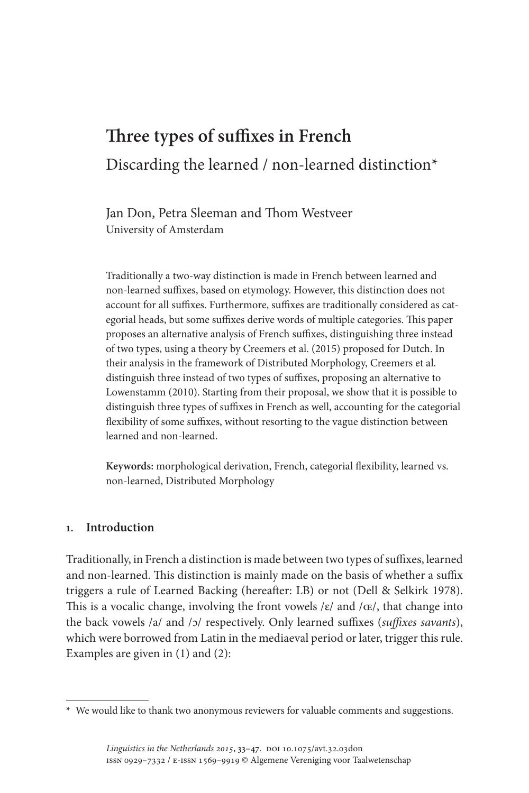# **Three types of suffixes in French** Discarding the learned / non-learned distinction\*

Jan Don, Petra Sleeman and Thom Westveer University of Amsterdam

Traditionally a two-way distinction is made in French between learned and non-learned suffixes, based on etymology. However, this distinction does not account for all suffixes. Furthermore, suffixes are traditionally considered as categorial heads, but some suffixes derive words of multiple categories. This paper proposes an alternative analysis of French suffixes, distinguishing three instead of two types, using a theory by Creemers et al. (2015) proposed for Dutch. In their analysis in the framework of Distributed Morphology, Creemers et al. distinguish three instead of two types of suffixes, proposing an alternative to Lowenstamm (2010). Starting from their proposal, we show that it is possible to distinguish three types of suffixes in French as well, accounting for the categorial flexibility of some suffixes, without resorting to the vague distinction between learned and non-learned.

**Keywords:** morphological derivation, French, categorial flexibility, learned vs. non-learned, Distributed Morphology

#### **1. Introduction**

Traditionally, in French a distinction is made between two types of suffixes, learned and non-learned. This distinction is mainly made on the basis of whether a suffix triggers a rule of Learned Backing (hereafter: LB) or not (Dell & Selkirk 1978). This is a vocalic change, involving the front vowels  $/\varepsilon$  and  $/\varepsilon$ , that change into the back vowels /a/ and /ɔ/ respectively. Only learned suffixes (*suffixes savants*), which were borrowed from Latin in the mediaeval period or later, trigger this rule. Examples are given in (1) and (2):

**<sup>\*</sup>** We would like to thank two anonymous reviewers for valuable comments and suggestions.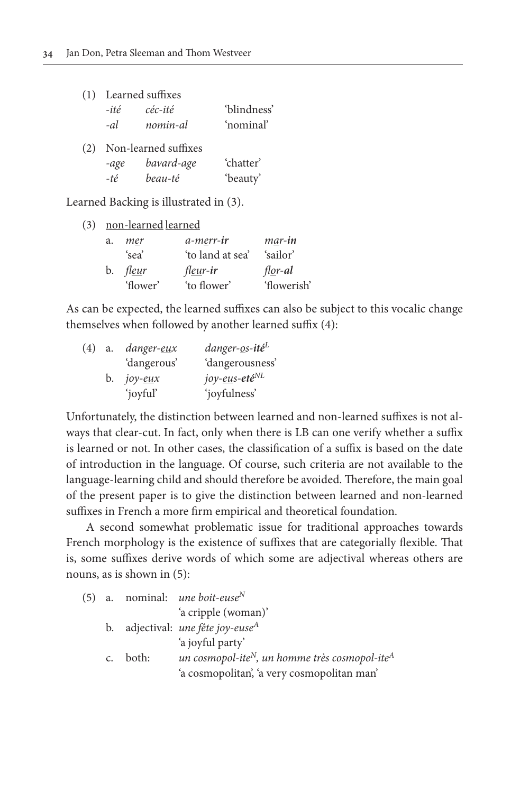|     |      | (1) Learned suffixes |             |
|-----|------|----------------------|-------------|
|     | -ité | céc-ité              | 'blindness' |
|     | -al  | nomin-al             | 'nominal'   |
| (2) |      | Non-learned suffixes |             |
|     | -age | bavard-age           | 'chatter'   |
|     | -té  | beau-té              | 'beauty'    |

Learned Backing is illustrated in (3).

(3) non-learned learned

| a. | mer      | a-merr-ir         | mar-in              |
|----|----------|-------------------|---------------------|
|    | 'sea'    | 'to land at sea'  | 'sailor'            |
|    | b. fleur | fl <u>eu</u> r-ir | $f \cdot \rho$ r-al |
|    | 'flower' | 'to flower'       | 'flowerish'         |

As can be expected, the learned suffixes can also be subject to this vocalic change themselves when followed by another learned suffix (4):

| (4) | a. | danger- <u>eu</u> x | danger- <u>o</u> s-ité <sup>L</sup> |
|-----|----|---------------------|-------------------------------------|
|     |    | 'dangerous'         | 'dangerousness'                     |
|     | b. | јоу- <u>еи</u> х    | joy- <u>eu</u> s-eté <sup>NL</sup>  |
|     |    | 'joyful'            | 'joyfulness'                        |

Unfortunately, the distinction between learned and non-learned suffixes is not always that clear-cut. In fact, only when there is LB can one verify whether a suffix is learned or not. In other cases, the classification of a suffix is based on the date of introduction in the language. Of course, such criteria are not available to the language-learning child and should therefore be avoided. Therefore, the main goal of the present paper is to give the distinction between learned and non-learned suffixes in French a more firm empirical and theoretical foundation.

A second somewhat problematic issue for traditional approaches towards French morphology is the existence of suffixes that are categorially flexible. That is, some suffixes derive words of which some are adjectival whereas others are nouns, as is shown in (5):

| (5) |          | a. nominal: <i>une boit-euse</i> <sup>N</sup>                          |
|-----|----------|------------------------------------------------------------------------|
|     |          | 'a cripple (woman)'                                                    |
|     |          | b. adjectival: une fête joy-euse <sup>A</sup>                          |
|     |          | 'a joyful party'                                                       |
|     | c. both: | un cosmopol-ite <sup>N</sup> , un homme très cosmopol-ite <sup>A</sup> |
|     |          | 'a cosmopolitan', 'a very cosmopolitan man'                            |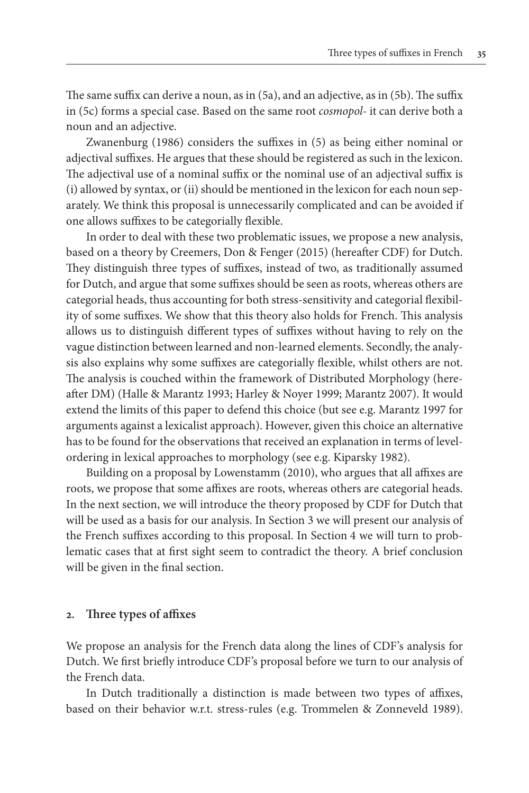The same suffix can derive a noun, as in (5a), and an adjective, as in (5b). The suffix in (5c) forms a special case. Based on the same root *cosmopol-* it can derive both a noun and an adjective.

Zwanenburg (1986) considers the suffixes in (5) as being either nominal or adjectival suffixes. He argues that these should be registered as such in the lexicon. The adjectival use of a nominal suffix or the nominal use of an adjectival suffix is (i) allowed by syntax, or (ii) should be mentioned in the lexicon for each noun separately. We think this proposal is unnecessarily complicated and can be avoided if one allows suffixes to be categorially flexible.

In order to deal with these two problematic issues, we propose a new analysis, based on a theory by Creemers, Don & Fenger (2015) (hereafter CDF) for Dutch. They distinguish three types of suffixes, instead of two, as traditionally assumed for Dutch, and argue that some suffixes should be seen as roots, whereas others are categorial heads, thus accounting for both stress-sensitivity and categorial flexibility of some suffixes. We show that this theory also holds for French. This analysis allows us to distinguish different types of suffixes without having to rely on the vague distinction between learned and non-learned elements. Secondly, the analysis also explains why some suffixes are categorially flexible, whilst others are not. The analysis is couched within the framework of Distributed Morphology (hereafter DM) (Halle & Marantz 1993; Harley & Noyer 1999; Marantz 2007). It would extend the limits of this paper to defend this choice (but see e.g. Marantz 1997 for arguments against a lexicalist approach). However, given this choice an alternative has to be found for the observations that received an explanation in terms of levelordering in lexical approaches to morphology (see e.g. Kiparsky 1982).

Building on a proposal by Lowenstamm (2010), who argues that all affixes are roots, we propose that some affixes are roots, whereas others are categorial heads. In the next section, we will introduce the theory proposed by CDF for Dutch that will be used as a basis for our analysis. In Section 3 we will present our analysis of the French suffixes according to this proposal. In Section 4 we will turn to problematic cases that at first sight seem to contradict the theory. A brief conclusion will be given in the final section.

#### **2. Three types of affixes**

We propose an analysis for the French data along the lines of CDF's analysis for Dutch. We first briefly introduce CDF's proposal before we turn to our analysis of the French data.

In Dutch traditionally a distinction is made between two types of affixes, based on their behavior w.r.t. stress-rules (e.g. Trommelen & Zonneveld 1989).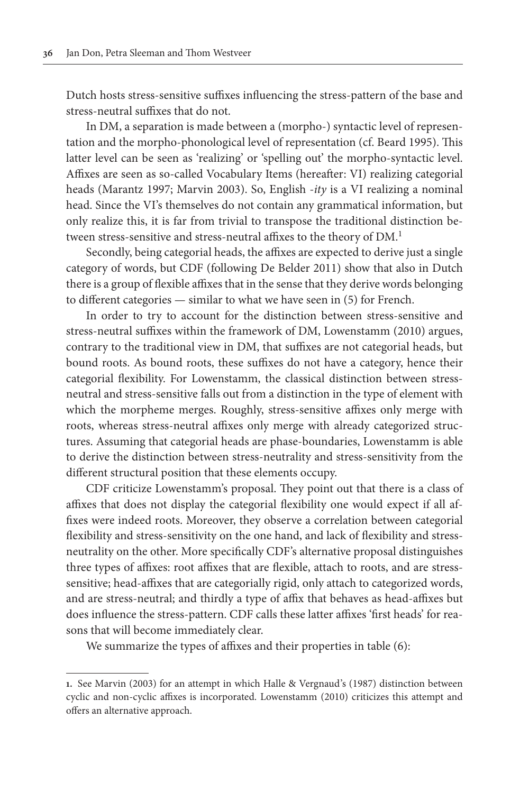Dutch hosts stress-sensitive suffixes influencing the stress-pattern of the base and stress-neutral suffixes that do not.

In DM, a separation is made between a (morpho-) syntactic level of representation and the morpho-phonological level of representation (cf. Beard 1995). This latter level can be seen as 'realizing' or 'spelling out' the morpho-syntactic level. Affixes are seen as so-called Vocabulary Items (hereafter: VI) realizing categorial heads (Marantz 1997; Marvin 2003). So, English -*ity* is a VI realizing a nominal head. Since the VI's themselves do not contain any grammatical information, but only realize this, it is far from trivial to transpose the traditional distinction between stress-sensitive and stress-neutral affixes to the theory of DM.<sup>1</sup>

Secondly, being categorial heads, the affixes are expected to derive just a single category of words, but CDF (following De Belder 2011) show that also in Dutch there is a group of flexible affixes that in the sense that they derive words belonging to different categories — similar to what we have seen in (5) for French.

In order to try to account for the distinction between stress-sensitive and stress-neutral suffixes within the framework of DM, Lowenstamm (2010) argues, contrary to the traditional view in DM, that suffixes are not categorial heads, but bound roots. As bound roots, these suffixes do not have a category, hence their categorial flexibility. For Lowenstamm, the classical distinction between stressneutral and stress-sensitive falls out from a distinction in the type of element with which the morpheme merges. Roughly, stress-sensitive affixes only merge with roots, whereas stress-neutral affixes only merge with already categorized structures. Assuming that categorial heads are phase-boundaries, Lowenstamm is able to derive the distinction between stress-neutrality and stress-sensitivity from the different structural position that these elements occupy.

CDF criticize Lowenstamm's proposal. They point out that there is a class of affixes that does not display the categorial flexibility one would expect if all affixes were indeed roots. Moreover, they observe a correlation between categorial flexibility and stress-sensitivity on the one hand, and lack of flexibility and stressneutrality on the other. More specifically CDF's alternative proposal distinguishes three types of affixes: root affixes that are flexible, attach to roots, and are stresssensitive; head-affixes that are categorially rigid, only attach to categorized words, and are stress-neutral; and thirdly a type of affix that behaves as head-affixes but does influence the stress-pattern. CDF calls these latter affixes 'first heads' for reasons that will become immediately clear.

We summarize the types of affixes and their properties in table  $(6)$ :

**<sup>1.</sup>** See Marvin (2003) for an attempt in which Halle & Vergnaud's (1987) distinction between cyclic and non-cyclic affixes is incorporated. Lowenstamm (2010) criticizes this attempt and offers an alternative approach.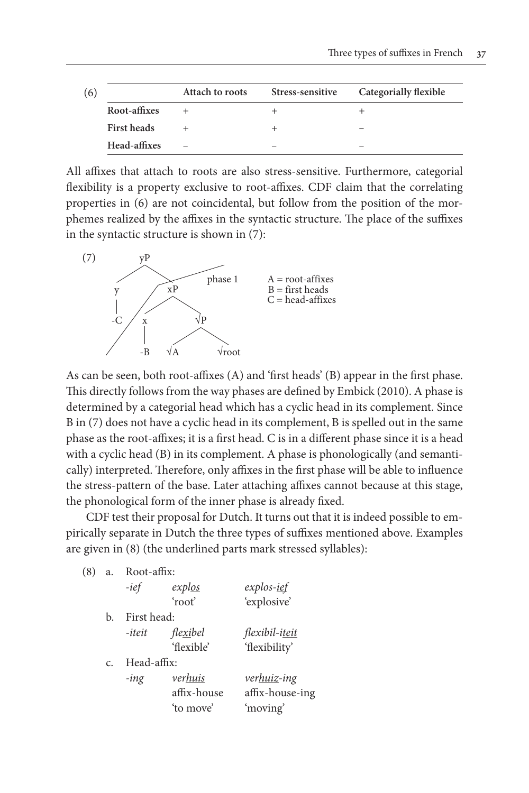| (6) |              | Attach to roots | Stress-sensitive | Categorially flexible |
|-----|--------------|-----------------|------------------|-----------------------|
|     | Root-affixes |                 |                  |                       |
|     | First heads  |                 |                  |                       |
|     | Head-affixes |                 |                  |                       |

All affixes that attach to roots are also stress-sensitive. Furthermore, categorial flexibility is a property exclusive to root-affixes. CDF claim that the correlating properties in (6) are not coincidental, but follow from the position of the morphemes realized by the affixes in the syntactic structure. The place of the suffixes in the syntactic structure is shown in (7):



As can be seen, both root-affixes (A) and 'first heads' (B) appear in the first phase. This directly follows from the way phases are defined by Embick (2010). A phase is determined by a categorial head which has a cyclic head in its complement. Since B in (7) does not have a cyclic head in its complement, B is spelled out in the same phase as the root-affixes; it is a first head. C is in a different phase since it is a head with a cyclic head (B) in its complement. A phase is phonologically (and semantically) interpreted. Therefore, only affixes in the first phase will be able to influence the stress-pattern of the base. Later attaching affixes cannot because at this stage, the phonological form of the inner phase is already fixed.

CDF test their proposal for Dutch. It turns out that it is indeed possible to empirically separate in Dutch the three types of suffixes mentioned above. Examples are given in (8) (the underlined parts mark stressed syllables):

(8) a. Root-affix:

|             | -ief        | exp <i>log</i>    | explos- <u>ief</u>     |
|-------------|-------------|-------------------|------------------------|
|             |             | 'root'            | 'explosive'            |
| b.          | First head: |                   |                        |
|             | -iteit      | fle <u>xi</u> bel | flexibil-i <u>teit</u> |
|             |             | 'flexible'        | 'flexibility'          |
| $C_{\cdot}$ | Head-affix: |                   |                        |
|             | $-i n g$    | verhuis           | ver <u>huiz</u> -ing   |
|             |             | affix-house       | affix-house-ing        |
|             |             | 'to move'         | 'moving'               |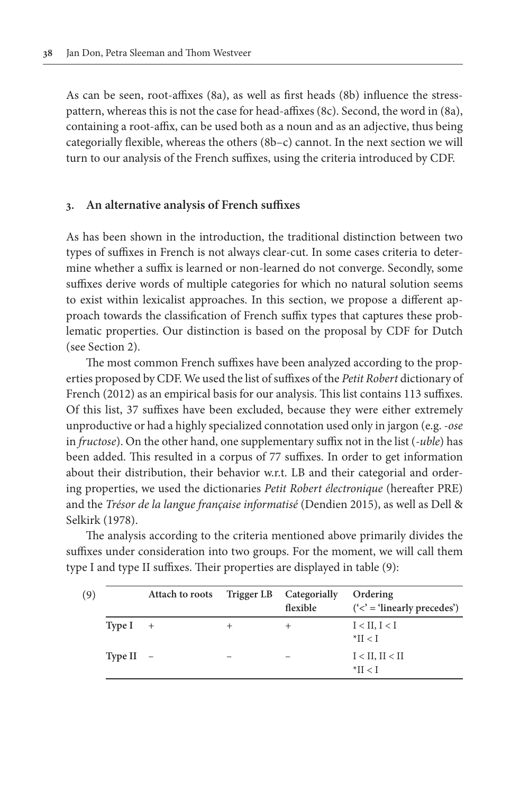As can be seen, root-affixes (8a), as well as first heads (8b) influence the stresspattern, whereas this is not the case for head-affixes (8c). Second, the word in (8a), containing a root-affix, can be used both as a noun and as an adjective, thus being categorially flexible, whereas the others (8b–c) cannot. In the next section we will turn to our analysis of the French suffixes, using the criteria introduced by CDF.

#### **3. An alternative analysis of French suffixes**

As has been shown in the introduction, the traditional distinction between two types of suffixes in French is not always clear-cut. In some cases criteria to determine whether a suffix is learned or non-learned do not converge. Secondly, some suffixes derive words of multiple categories for which no natural solution seems to exist within lexicalist approaches. In this section, we propose a different approach towards the classification of French suffix types that captures these problematic properties. Our distinction is based on the proposal by CDF for Dutch (see Section 2).

The most common French suffixes have been analyzed according to the properties proposed by CDF. We used the list of suffixes of the *Petit Robert* dictionary of French (2012) as an empirical basis for our analysis. This list contains 113 suffixes. Of this list, 37 suffixes have been excluded, because they were either extremely unproductive or had a highly specialized connotation used only in jargon (e.g. *-ose* in *fructose*). On the other hand, one supplementary suffix not in the list (*-uble*) has been added. This resulted in a corpus of 77 suffixes. In order to get information about their distribution, their behavior w.r.t. LB and their categorial and ordering properties, we used the dictionaries *Petit Robert électronique* (hereafter PRE) and the *Trésor de la langue française informatisé* (Dendien 2015), as well as Dell & Selkirk (1978).

The analysis according to the criteria mentioned above primarily divides the suffixes under consideration into two groups. For the moment, we will call them type I and type II suffixes. Their properties are displayed in table (9):

| (9)         | Attach to roots |      | Trigger LB Categorially<br>flexible | Ordering<br>$(<$ = 'linearly precedes') |
|-------------|-----------------|------|-------------------------------------|-----------------------------------------|
| Type $I +$  |                 | $^+$ | $^+$                                | I < II, I < I<br>$^*$ II < I            |
| Type II $-$ |                 |      |                                     | $I < II$ , $II < II$<br>$*$ II < I      |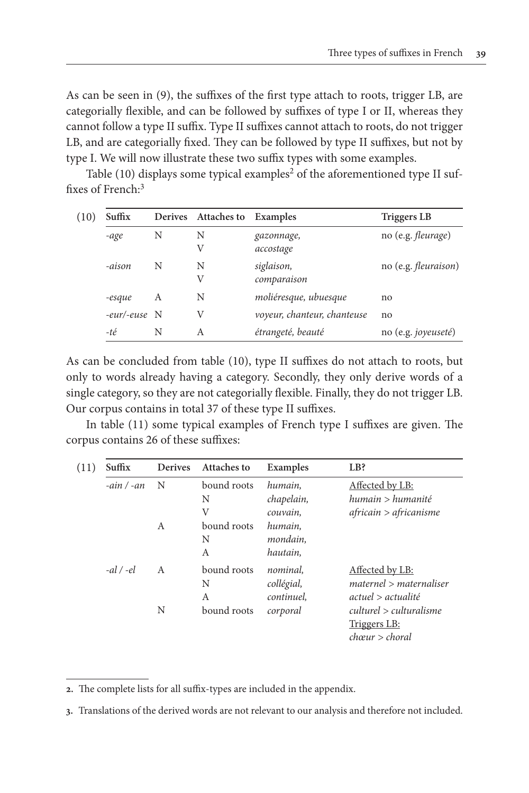As can be seen in (9), the suffixes of the first type attach to roots, trigger LB, are categorially flexible, and can be followed by suffixes of type I or II, whereas they cannot follow a type II suffix. Type II suffixes cannot attach to roots, do not trigger LB, and are categorially fixed. They can be followed by type II suffixes, but not by type I. We will now illustrate these two suffix types with some examples.

Table  $(10)$  displays some typical examples<sup>2</sup> of the aforementioned type II suffixes of French:<sup>3</sup>

| (10) | Suffix       |   | Derives Attaches to Examples |                             | Triggers LB                  |
|------|--------------|---|------------------------------|-----------------------------|------------------------------|
|      | -age         | N | Ν                            | gazonnage,                  | no (e.g. <i>fleurage</i> )   |
|      |              |   | V                            | accostage                   |                              |
|      | -aison       | N | N                            | siglaison,                  | no (e.g. <i>fleuraison</i> ) |
|      |              |   | V                            | comparaison                 |                              |
|      | -esque       | А | N                            | moliéresque, ubuesque       | no                           |
|      | -eur/-euse N |   | V                            | voyeur, chanteur, chanteuse | no                           |
|      | -té          | N | A                            | étrangeté, beauté           | no (e.g. <i>joyeuseté</i> )  |

As can be concluded from table (10), type II suffixes do not attach to roots, but only to words already having a category. Secondly, they only derive words of a single category, so they are not categorially flexible. Finally, they do not trigger LB. Our corpus contains in total 37 of these type II suffixes.

In table (11) some typical examples of French type I suffixes are given. The corpus contains 26 of these suffixes:

| (11) | Suffix        | <b>Derives</b> | <b>Attaches to</b> | Examples   | LB?                       |
|------|---------------|----------------|--------------------|------------|---------------------------|
|      | $-ain / -an$  | N              | bound roots        | humain.    | Affected by LB:           |
|      |               |                | N                  | chapelain, | humain > humanité         |
|      |               |                | V                  | couvain.   | africain > africanisme    |
|      |               | A              | bound roots        | humain.    |                           |
|      |               |                | N                  | mondain.   |                           |
|      |               |                | A                  | hautain.   |                           |
|      | $-al$ / $-el$ | A              | bound roots        | nominal.   | Affected by LB:           |
|      |               |                | N                  | collégial, | $material$ > maternaliser |
|      |               |                | A                  | continuel. | actual > actualité        |
|      |               | N              | bound roots        | corporal   | culturel > culturalisme   |
|      |               |                |                    |            | <u>Triggers LB:</u>       |
|      |               |                |                    |            | chœur > choral            |

**<sup>2.</sup>** The complete lists for all suffix-types are included in the appendix.

**<sup>3.</sup>** Translations of the derived words are not relevant to our analysis and therefore not included.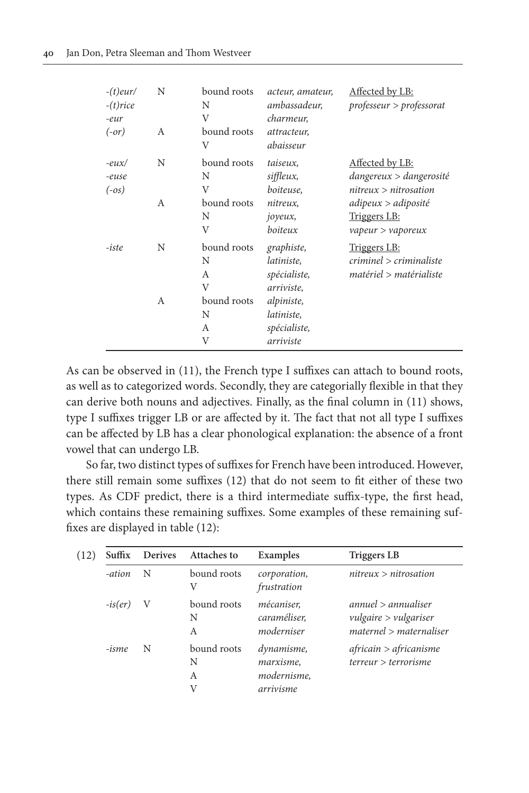| $-(t)$ eur/<br>$-(t)$ rice<br>eur<br>$(-or)$ | N<br>А | bound roots<br>N<br>V<br>bound roots<br>V | acteur, amateur,<br>ambassadeur,<br>charmeur,<br>attracteur,<br>abaisseur | Affected by LB:<br>professeur > professorat                                                                       |
|----------------------------------------------|--------|-------------------------------------------|---------------------------------------------------------------------------|-------------------------------------------------------------------------------------------------------------------|
| $-eux/$<br>-euse<br>$(-os)$                  | N<br>А | bound roots<br>N<br>V<br>bound roots<br>N | taiseux,<br>siffleux,<br>boiteuse.<br>nitreux,<br>joyeux,                 | Affected by LB:<br>dangereux > dangerosité<br>nitreux > nitrosation<br>adipeux > adiposité<br><b>Triggers LB:</b> |
| -iste                                        | N      | V<br>bound roots<br>N<br>A<br>V           | boiteux<br>graphiste,<br>latiniste,<br>spécialiste,<br>arriviste,         | vapeur > vapeux<br>Triggers LB:<br>criminel > criminaliste<br>matériel > matérialiste                             |
|                                              | А      | bound roots<br>N<br>А<br>V                | alpiniste,<br>latiniste,<br>spécialiste,<br>arriviste                     |                                                                                                                   |

As can be observed in (11), the French type I suffixes can attach to bound roots, as well as to categorized words. Secondly, they are categorially flexible in that they can derive both nouns and adjectives. Finally, as the final column in (11) shows, type I suffixes trigger LB or are affected by it. The fact that not all type I suffixes can be affected by LB has a clear phonological explanation: the absence of a front vowel that can undergo LB.

So far, two distinct types of suffixes for French have been introduced. However, there still remain some suffixes (12) that do not seem to fit either of these two types. As CDF predict, there is a third intermediate suffix-type, the first head, which contains these remaining suffixes. Some examples of these remaining suffixes are displayed in table (12):

| (12) | Suffix    | <b>Derives</b> | <b>Attaches to</b>         | Examples                                            | <b>Triggers LB</b>                                                        |
|------|-----------|----------------|----------------------------|-----------------------------------------------------|---------------------------------------------------------------------------|
|      | -ation    | N              | bound roots<br>V           | corporation,<br>frustration                         | nitreux > nitrosation                                                     |
|      | $-is(er)$ | V              | bound roots<br>N<br>A      | mécaniser.<br>caraméliser,<br>moderniser            | annuel > annualiser<br>vulgaire > vulgariser<br>$material$ > maternaliser |
|      | -isme     | N              | bound roots<br>N<br>A<br>V | dynamisme,<br>marxisme,<br>modernisme,<br>arrivisme | africain > africanisme<br>terreur > terrorisme                            |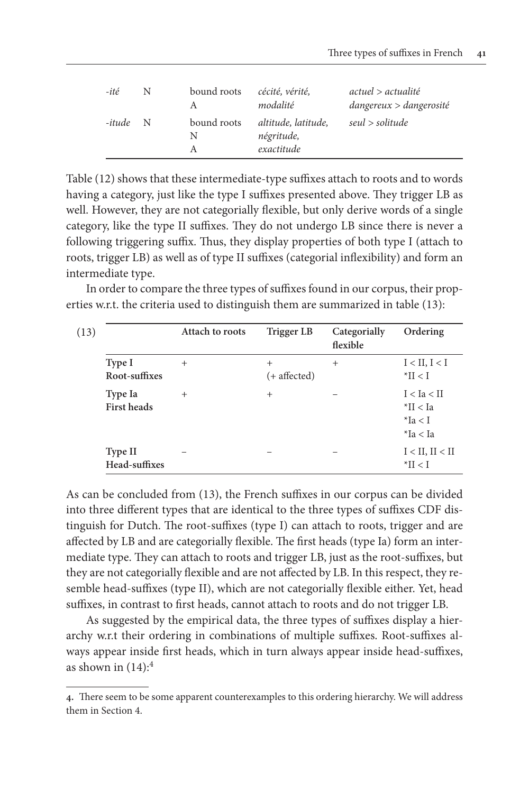| -ité   | N | bound roots      | cécité, vérité,<br>modalité                     | actual > actualité<br>$d$ angereux > $d$ angerosité |
|--------|---|------------------|-------------------------------------------------|-----------------------------------------------------|
| -itude | N | bound roots<br>N | altitude, latitude,<br>négritude,<br>exactitude | seul > solitude                                     |

Table (12) shows that these intermediate-type suffixes attach to roots and to words having a category, just like the type I suffixes presented above. They trigger LB as well. However, they are not categorially flexible, but only derive words of a single category, like the type II suffixes. They do not undergo LB since there is never a following triggering suffix. Thus, they display properties of both type I (attach to roots, trigger LB) as well as of type II suffixes (categorial inflexibility) and form an intermediate type.

In order to compare the three types of suffixes found in our corpus, their properties w.r.t. the criteria used to distinguish them are summarized in table (13):

|                                 | Attach to roots | Trigger LB             | Categorially<br>flexible | Ordering                                                |
|---------------------------------|-----------------|------------------------|--------------------------|---------------------------------------------------------|
| Type I<br>Root-suffixes         | $^{+}$          | $^{+}$<br>(+ affected) | $^{+}$                   | I < II, I < I<br>$\mathbb{I} > \mathbb{I}$              |
| Type Ia<br><b>First heads</b>   | $^{+}$          | $^{+}$                 |                          | I < Ia < II<br>$*$ II < Ia<br>$*$ Ia < I<br>$*$ Ia < Ia |
| <b>Type II</b><br>Head-suffixes |                 |                        |                          | $I < II$ , $II < II$<br>$*$ II < I                      |

As can be concluded from (13), the French suffixes in our corpus can be divided into three different types that are identical to the three types of suffixes CDF distinguish for Dutch. The root-suffixes (type I) can attach to roots, trigger and are affected by LB and are categorially flexible. The first heads (type Ia) form an intermediate type. They can attach to roots and trigger LB, just as the root-suffixes, but they are not categorially flexible and are not affected by LB. In this respect, they resemble head-suffixes (type II), which are not categorially flexible either. Yet, head suffixes, in contrast to first heads, cannot attach to roots and do not trigger LB.

As suggested by the empirical data, the three types of suffixes display a hierarchy w.r.t their ordering in combinations of multiple suffixes. Root-suffixes always appear inside first heads, which in turn always appear inside head-suffixes, as shown in  $(14):$ <sup>4</sup>

**<sup>4.</sup>** There seem to be some apparent counterexamples to this ordering hierarchy. We will address them in Section 4.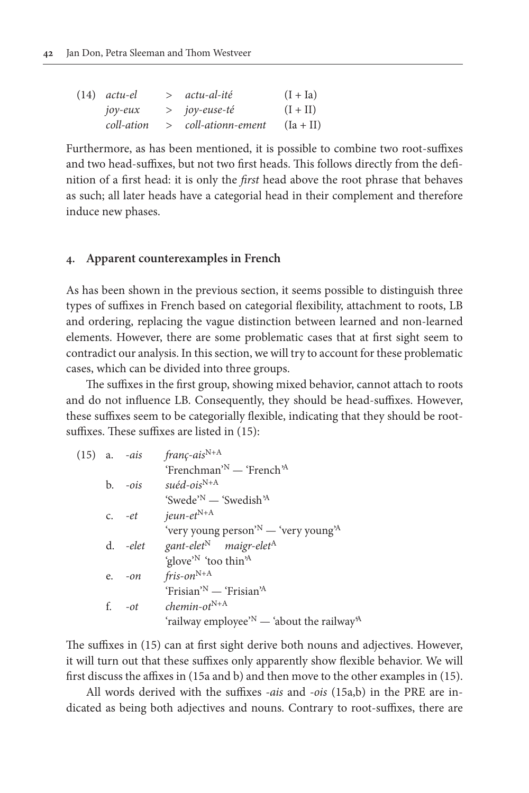| $(14)$ actu-el | > actu-al-ité       | $(I + Ia)$  |
|----------------|---------------------|-------------|
| $jov$ -eux     | > joy-euse-té       | $(I + II)$  |
| coll-ation     | > coll-ationn-ement | $(Ia + II)$ |

Furthermore, as has been mentioned, it is possible to combine two root-suffixes and two head-suffixes, but not two first heads. This follows directly from the definition of a first head: it is only the *first* head above the root phrase that behaves as such; all later heads have a categorial head in their complement and therefore induce new phases.

#### **4. Apparent counterexamples in French**

As has been shown in the previous section, it seems possible to distinguish three types of suffixes in French based on categorial flexibility, attachment to roots, LB and ordering, replacing the vague distinction between learned and non-learned elements. However, there are some problematic cases that at first sight seem to contradict our analysis. In this section, we will try to account for these problematic cases, which can be divided into three groups.

The suffixes in the first group, showing mixed behavior, cannot attach to roots and do not influence LB. Consequently, they should be head-suffixes. However, these suffixes seem to be categorially flexible, indicating that they should be rootsuffixes. These suffixes are listed in (15):

|  |           | (15) a. $-ais$ franç-ais <sup>N+A</sup>                               |
|--|-----------|-----------------------------------------------------------------------|
|  |           | 'Frenchman' <sup>N</sup> — 'French' <sup>A</sup>                      |
|  | $b. -ois$ | suéd-ois <sup>N+A</sup>                                               |
|  |           | 'Swede' <sup>N</sup> — 'Swedish' <sup>A</sup>                         |
|  | $c.$ -et  | jeun-et $^{N+A}$                                                      |
|  |           | 'very young person' <sup>N</sup> — 'very young <sup>'A</sup>          |
|  | d. -elet  | gant-elet <sup>N</sup> maigr-elet <sup>A</sup>                        |
|  |           | 'glove' <sup>N</sup> 'too thin' <sup>A</sup>                          |
|  | e. $-on$  | $fris$ -on $^{N+A}$                                                   |
|  |           | 'Frisian' <sup>N</sup> — 'Frisian' <sup>A</sup>                       |
|  | f. $-$ ot | $chemin-otN+A$                                                        |
|  |           | 'railway employee' $N$ — 'about the railway <sup><math>A</math></sup> |
|  |           |                                                                       |

The suffixes in (15) can at first sight derive both nouns and adjectives. However, it will turn out that these suffixes only apparently show flexible behavior. We will first discuss the affixes in (15a and b) and then move to the other examples in (15).

All words derived with the suffixes *-ais* and *-ois* (15a,b) in the PRE are indicated as being both adjectives and nouns. Contrary to root-suffixes, there are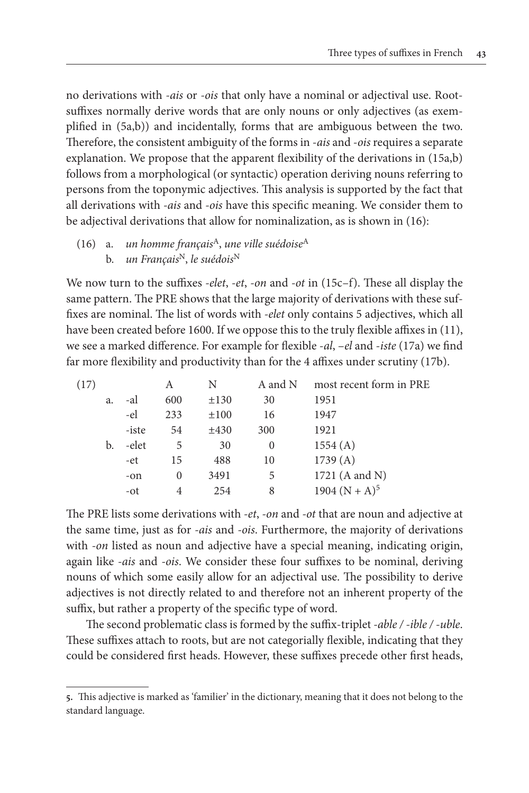no derivations with *-ais* or *-ois* that only have a nominal or adjectival use. Rootsuffixes normally derive words that are only nouns or only adjectives (as exemplified in (5a,b)) and incidentally, forms that are ambiguous between the two. Therefore, the consistent ambiguity of the forms in -*ais* and -*ois* requires a separate explanation. We propose that the apparent flexibility of the derivations in (15a,b) follows from a morphological (or syntactic) operation deriving nouns referring to persons from the toponymic adjectives. This analysis is supported by the fact that all derivations with *-ais* and *-ois* have this specific meaning. We consider them to be adjectival derivations that allow for nominalization, as is shown in (16):

#### (16) a. *un homme français*A, *une ville suédoise*<sup>A</sup> b. *un Français*N, *le suédois*<sup>N</sup>

We now turn to the suffixes *-elet*, *-et*, *-on* and *-ot* in (15c–f). These all display the same pattern. The PRE shows that the large majority of derivations with these suffixes are nominal. The list of words with *-elet* only contains 5 adjectives, which all have been created before 1600. If we oppose this to the truly flexible affixes in (11), we see a marked difference. For example for flexible -*al*, –*el* and -*iste* (17a) we find far more flexibility and productivity than for the 4 affixes under scrutiny (17b).

| (17) |    |       | А        | N         | A and N  | most recent form in PRE |
|------|----|-------|----------|-----------|----------|-------------------------|
|      | a. | -al   | 600      | $\pm 130$ | 30       | 1951                    |
|      |    | -el   | 233      | $\pm 100$ | 16       | 1947                    |
|      |    | -iste | 54       | ±430      | 300      | 1921                    |
|      | b. | -elet | 5        | 30        | $\theta$ | 1554(A)                 |
|      |    | -et   | 15       | 488       | 10       | 1739(A)                 |
|      |    | $-on$ | $\Omega$ | 3491      | 5        | 1721 (A and N)          |
|      |    | -ot   | 4        | 254       | 8        | 1904 $(N + A)^5$        |

The PRE lists some derivations with *-et*, *-on* and *-ot* that are noun and adjective at the same time, just as for *-ais* and *-ois*. Furthermore, the majority of derivations with *-on* listed as noun and adjective have a special meaning, indicating origin, again like *-ais* and *-ois*. We consider these four suffixes to be nominal, deriving nouns of which some easily allow for an adjectival use. The possibility to derive adjectives is not directly related to and therefore not an inherent property of the suffix, but rather a property of the specific type of word.

The second problematic class is formed by the suffix-triplet *-able / -ible / -uble*. These suffixes attach to roots, but are not categorially flexible, indicating that they could be considered first heads. However, these suffixes precede other first heads,

**<sup>5.</sup>** This adjective is marked as 'familier' in the dictionary, meaning that it does not belong to the standard language.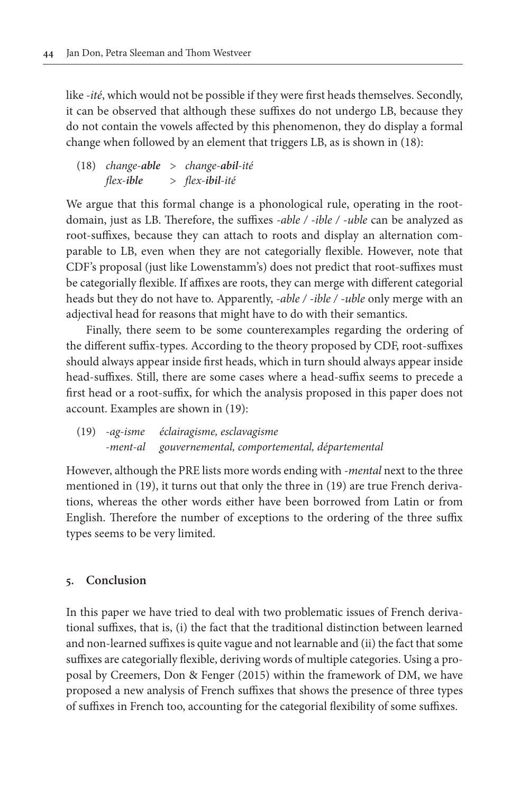like *-ité*, which would not be possible if they were first heads themselves. Secondly, it can be observed that although these suffixes do not undergo LB, because they do not contain the vowels affected by this phenomenon, they do display a formal change when followed by an element that triggers LB, as is shown in (18):

(18) *change-able* > *change-abil-ité flex-ible* > *flex-ibil-ité*

We argue that this formal change is a phonological rule, operating in the rootdomain, just as LB. Therefore, the suffixes *-able / -ible / -uble* can be analyzed as root-suffixes, because they can attach to roots and display an alternation comparable to LB, even when they are not categorially flexible. However, note that CDF's proposal (just like Lowenstamm's) does not predict that root-suffixes must be categorially flexible. If affixes are roots, they can merge with different categorial heads but they do not have to. Apparently, *-able / -ible / -uble* only merge with an adjectival head for reasons that might have to do with their semantics.

Finally, there seem to be some counterexamples regarding the ordering of the different suffix-types. According to the theory proposed by CDF, root-suffixes should always appear inside first heads, which in turn should always appear inside head-suffixes. Still, there are some cases where a head-suffix seems to precede a first head or a root-suffix, for which the analysis proposed in this paper does not account. Examples are shown in (19):

(19) *-ag-isme éclairagisme, esclavagisme -ment-al gouvernemental, comportemental, départemental*

However, although the PRE lists more words ending with *-mental* next to the three mentioned in (19), it turns out that only the three in (19) are true French derivations, whereas the other words either have been borrowed from Latin or from English. Therefore the number of exceptions to the ordering of the three suffix types seems to be very limited.

#### **5. Conclusion**

In this paper we have tried to deal with two problematic issues of French derivational suffixes, that is, (i) the fact that the traditional distinction between learned and non-learned suffixes is quite vague and not learnable and (ii) the fact that some suffixes are categorially flexible, deriving words of multiple categories. Using a proposal by Creemers, Don & Fenger (2015) within the framework of DM, we have proposed a new analysis of French suffixes that shows the presence of three types of suffixes in French too, accounting for the categorial flexibility of some suffixes.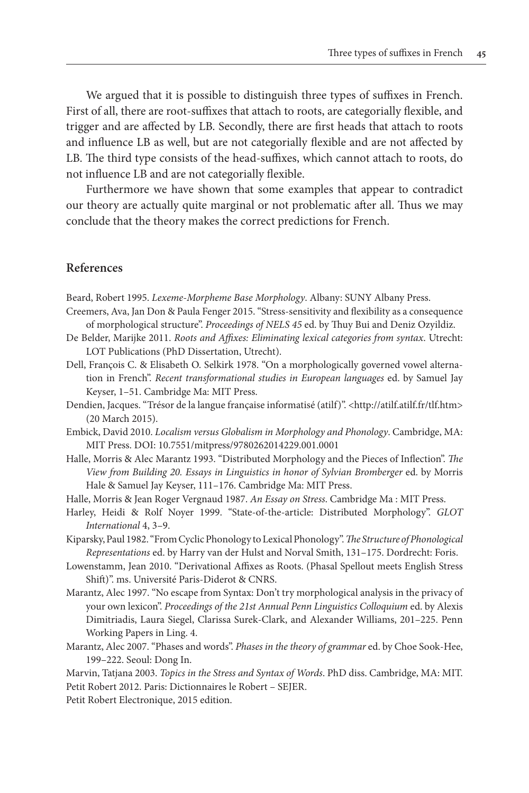We argued that it is possible to distinguish three types of suffixes in French. First of all, there are root-suffixes that attach to roots, are categorially flexible, and trigger and are affected by LB. Secondly, there are first heads that attach to roots and influence LB as well, but are not categorially flexible and are not affected by LB. The third type consists of the head-suffixes, which cannot attach to roots, do not influence LB and are not categorially flexible.

Furthermore we have shown that some examples that appear to contradict our theory are actually quite marginal or not problematic after all. Thus we may conclude that the theory makes the correct predictions for French.

#### **References**

Beard, Robert 1995. *Lexeme-Morpheme Base Morphology*. Albany: SUNY Albany Press.

- Creemers, Ava, Jan Don & Paula Fenger 2015. "Stress-sensitivity and flexibility as a consequence of morphological structure". *Proceedings of NELS 45* ed. by Thuy Bui and Deniz Ozyildiz.
- De Belder, Marijke 2011. *Roots and Affixes: Eliminating lexical categories from syntax*. Utrecht: LOT Publications (PhD Dissertation, Utrecht).
- Dell, François C. & Elisabeth O. Selkirk 1978. "On a morphologically governed vowel alternation in French". *Recent transformational studies in European languages* ed. by Samuel Jay Keyser, 1–51. Cambridge Ma: MIT Press.
- Dendien, Jacques. "Trésor de la langue française informatisé (atilf)". [<http://atilf.atilf.fr/tlf.htm>](http://atilf.atilf.fr/tlf.htm) (20 March 2015).
- Embick, David 2010. *Localism versus Globalism in Morphology and Phonology*. Cambridge, MA: MIT Press. DOI: [10.7551/mitpress/9780262014229.001.0001](http://dx.doi.org/10.7551/mitpress/9780262014229.001.0001)
- Halle, Morris & Alec Marantz 1993. "Distributed Morphology and the Pieces of Inflection". *The View from Building 20. Essays in Linguistics in honor of Sylvian Bromberger* ed. by Morris Hale & Samuel Jay Keyser, 111–176. Cambridge Ma: MIT Press.

Halle, Morris & Jean Roger Vergnaud 1987. *An Essay on Stress*. Cambridge Ma : MIT Press.

- Harley, Heidi & Rolf Noyer 1999. "State-of-the-article: Distributed Morphology". *GLOT International* 4, 3–9.
- Kiparsky, Paul 1982. "From Cyclic Phonology to Lexical Phonology". *The Structure of Phonological Representations* ed. by Harry van der Hulst and Norval Smith, 131–175. Dordrecht: Foris.
- Lowenstamm, Jean 2010. "Derivational Affixes as Roots. (Phasal Spellout meets English Stress Shift)". ms. Université Paris-Diderot & CNRS.
- Marantz, Alec 1997. "No escape from Syntax: Don't try morphological analysis in the privacy of your own lexicon". *Proceedings of the 21st Annual Penn Linguistics Colloquium* ed. by Alexis Dimitriadis, Laura Siegel, Clarissa Surek-Clark, and Alexander Williams, 201–225. Penn Working Papers in Ling. 4.
- Marantz, Alec 2007. "Phases and words". *Phases in the theory of grammar* ed. by Choe Sook-Hee, 199–222. Seoul: Dong In.

Marvin, Tatjana 2003. *Topics in the Stress and Syntax of Words*. PhD diss. Cambridge, MA: MIT. Petit Robert 2012. Paris: Dictionnaires le Robert – SEJER.

Petit Robert Electronique, 2015 edition.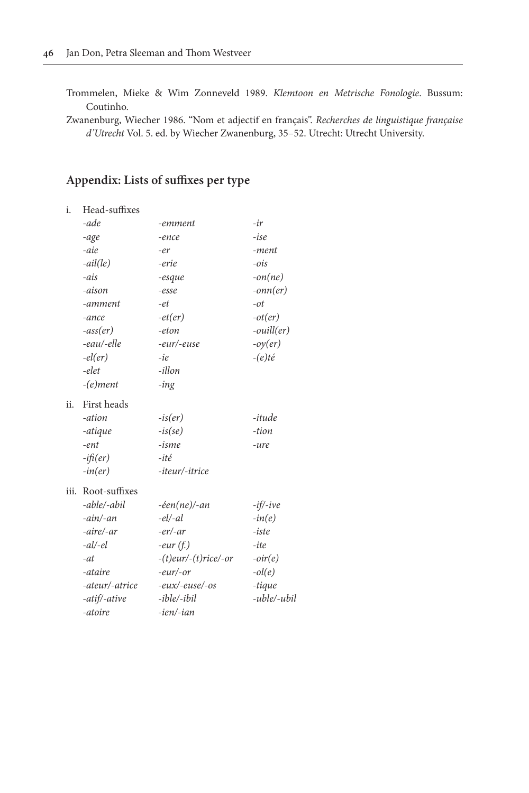Trommelen, Mieke & Wim Zonneveld 1989. *Klemtoon en Metrische Fonologie*. Bussum: Coutinho.

Zwanenburg, Wiecher 1986. "Nom et adjectif en français". *Recherches de linguistique française d'Utrecht* Vol. 5. ed. by Wiecher Zwanenburg, 35–52. Utrecht: Utrecht University.

### **Appendix: Lists of suffixes per type**

| i.   | Head-suffixes   |                              |                     |
|------|-----------------|------------------------------|---------------------|
|      | -ade            | -emment                      | $-ir$               |
|      | -age            | -ence                        | $-ise$              |
|      | -aie            | -er                          | -ment               |
|      | $-ail(le)$      | -erie                        | $-ois$              |
|      | -ais            | -esque                       | $-on(ne)$           |
|      | -aison          | $-esse$                      | $-onn(er)$          |
|      | -amment         | -et                          | $-ot$               |
|      | -ance           | $-et(er)$                    | $-ot(er)$           |
|      | $-ass(er)$      | -eton                        | $\text{-}ouill(er)$ |
|      | -eau/-elle      | -eur/-euse                   | $-oy(er)$           |
|      | $-el(er)$       | -ie                          | $-(e)t\acute{e}$    |
|      | -elet           | -illon                       |                     |
|      | $-(e)$ ment     | -ing                         |                     |
| ii.  | First heads     |                              |                     |
|      | -ation          | $-is(er)$                    | -itude              |
|      | -atique         | $-is(se)$                    | -tion               |
|      | $-ent$          | -isme                        | -ure                |
|      | $-i\hat{p}(er)$ | -ité                         |                     |
|      | $-in(er)$       | -iteur/-itrice               |                     |
| iii. | Root-suffixes   |                              |                     |
|      | -able/-abil     | $-\text{éen}(ne)/\text{-}an$ | $-if$ -ive          |
|      | $-ain/-an$      | $-el$ -al                    | $-in(e)$            |
|      | -aire/-ar       | $-er/-ar$                    | $-iste$             |
|      | $-al/-el$       | eur(f.)                      | -ite                |
|      | $-at$           | $-(t)$ eur/ $-(t)$ rice/-or  | $-oir(e)$           |
|      | -ataire         | eur/or                       | $-ol(e)$            |
|      | -ateur/-atrice  | -eux/-euse/-os               | -tique              |
|      | -atif/-ative    | -ible/-ibil                  | -uble/-ubil         |
|      | -atoire         | -ien/-ian                    |                     |
|      |                 |                              |                     |